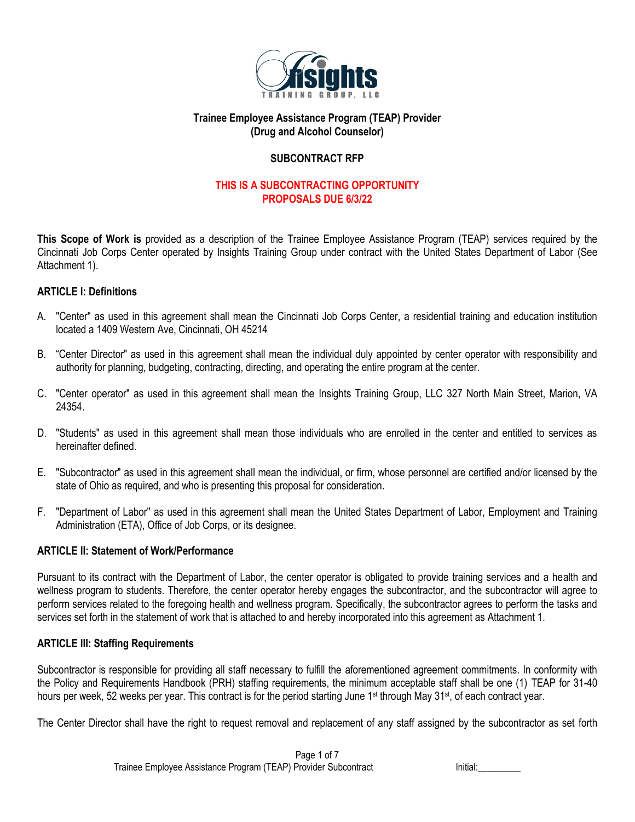

## **Trainee Employee Assistance Program (TEAP) Provider (Drug and Alcohol Counselor)**

## **SUBCONTRACT RFP**

# **THIS IS A SUBCONTRACTING OPPORTUNITY PROPOSALS DUE 6/3/22**

**This Scope of Work is** provided as a description of the Trainee Employee Assistance Program (TEAP) services required by the Cincinnati Job Corps Center operated by Insights Training Group under contract with the United States Department of Labor (See Attachment 1).

## **ARTICLE I: Definitions**

- A. "Center" as used in this agreement shall mean the Cincinnati Job Corps Center, a residential training and education institution located a 1409 Western Ave, Cincinnati, OH 45214
- B. "Center Director" as used in this agreement shall mean the individual duly appointed by center operator with responsibility and authority for planning, budgeting, contracting, directing, and operating the entire program at the center.
- C. "Center operator" as used in this agreement shall mean the Insights Training Group, LLC 327 North Main Street, Marion, VA 24354.
- D. "Students" as used in this agreement shall mean those individuals who are enrolled in the center and entitled to services as hereinafter defined.
- E. "Subcontractor" as used in this agreement shall mean the individual, or firm, whose personnel are certified and/or licensed by the state of Ohio as required, and who is presenting this proposal for consideration.
- F. "Department of Labor" as used in this agreement shall mean the United States Department of Labor, Employment and Training Administration (ETA), Office of Job Corps, or its designee.

## **ARTICLE II: Statement of Work/Performance**

Pursuant to its contract with the Department of Labor, the center operator is obligated to provide training services and a health and wellness program to students. Therefore, the center operator hereby engages the subcontractor, and the subcontractor will agree to perform services related to the foregoing health and wellness program. Specifically, the subcontractor agrees to perform the tasks and services set forth in the statement of work that is attached to and hereby incorporated into this agreement as Attachment 1.

#### **ARTICLE III: Staffing Requirements**

Subcontractor is responsible for providing all staff necessary to fulfill the aforementioned agreement commitments. In conformity with the Policy and Requirements Handbook (PRH) staffing requirements, the minimum acceptable staff shall be one (1) TEAP for 31-40 hours per week, 52 weeks per year. This contract is for the period starting June 1<sup>st</sup> through May 31<sup>st</sup>, of each contract year.

The Center Director shall have the right to request removal and replacement of any staff assigned by the subcontractor as set forth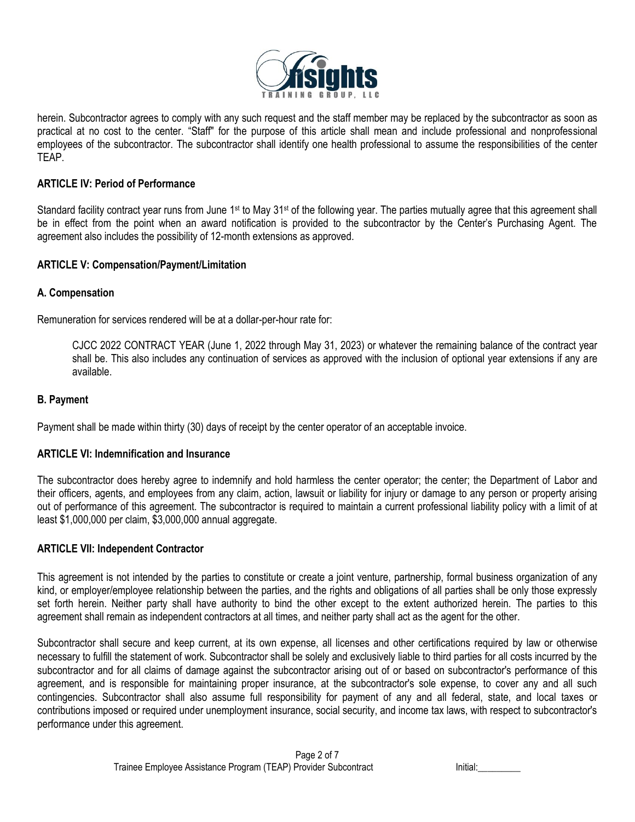

herein. Subcontractor agrees to comply with any such request and the staff member may be replaced by the subcontractor as soon as practical at no cost to the center. "Staff" for the purpose of this article shall mean and include professional and nonprofessional employees of the subcontractor. The subcontractor shall identify one health professional to assume the responsibilities of the center TEAP.

### **ARTICLE IV: Period of Performance**

Standard facility contract year runs from June 1<sup>st</sup> to May 31<sup>st</sup> of the following year. The parties mutually agree that this agreement shall be in effect from the point when an award notification is provided to the subcontractor by the Center's Purchasing Agent. The agreement also includes the possibility of 12-month extensions as approved.

#### **ARTICLE V: Compensation/Payment/Limitation**

### **A. Compensation**

Remuneration for services rendered will be at a dollar-per-hour rate for:

CJCC 2022 CONTRACT YEAR (June 1, 2022 through May 31, 2023) or whatever the remaining balance of the contract year shall be. This also includes any continuation of services as approved with the inclusion of optional year extensions if any are available.

### **B. Payment**

Payment shall be made within thirty (30) days of receipt by the center operator of an acceptable invoice.

#### **ARTICLE VI: Indemnification and Insurance**

The subcontractor does hereby agree to indemnify and hold harmless the center operator; the center; the Department of Labor and their officers, agents, and employees from any claim, action, lawsuit or liability for injury or damage to any person or property arising out of performance of this agreement. The subcontractor is required to maintain a current professional liability policy with a limit of at least \$1,000,000 per claim, \$3,000,000 annual aggregate.

#### **ARTICLE VII: Independent Contractor**

This agreement is not intended by the parties to constitute or create a joint venture, partnership, formal business organization of any kind, or employer/employee relationship between the parties, and the rights and obligations of all parties shall be only those expressly set forth herein. Neither party shall have authority to bind the other except to the extent authorized herein. The parties to this agreement shall remain as independent contractors at all times, and neither party shall act as the agent for the other.

Subcontractor shall secure and keep current, at its own expense, all licenses and other certifications required by law or otherwise necessary to fulfill the statement of work. Subcontractor shall be solely and exclusively liable to third parties for all costs incurred by the subcontractor and for all claims of damage against the subcontractor arising out of or based on subcontractor's performance of this agreement, and is responsible for maintaining proper insurance, at the subcontractor's sole expense, to cover any and all such contingencies. Subcontractor shall also assume full responsibility for payment of any and all federal, state, and local taxes or contributions imposed or required under unemployment insurance, social security, and income tax laws, with respect to subcontractor's performance under this agreement.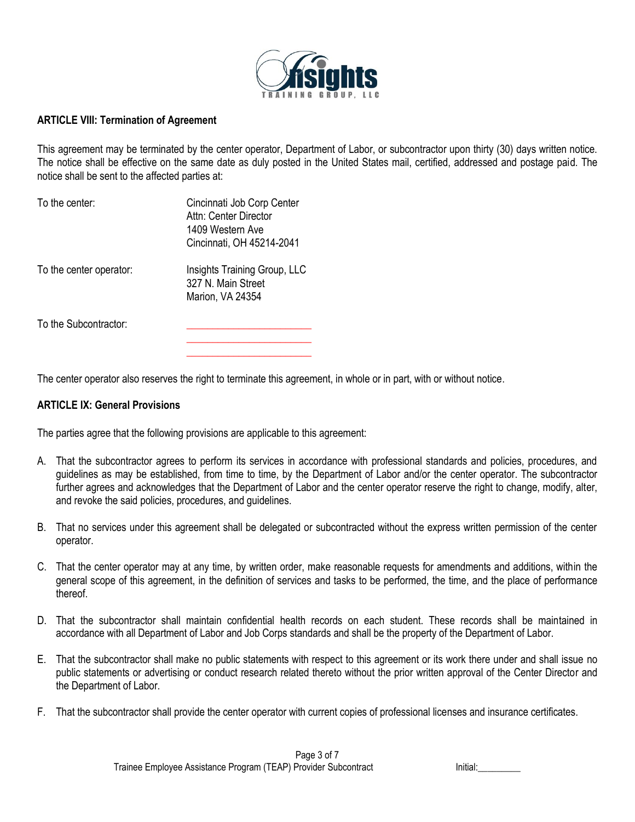

### **ARTICLE VIII: Termination of Agreement**

This agreement may be terminated by the center operator, Department of Labor, or subcontractor upon thirty (30) days written notice. The notice shall be effective on the same date as duly posted in the United States mail, certified, addressed and postage paid. The notice shall be sent to the affected parties at:

| To the center:          | Cincinnati Job Corp Center<br>Attn: Center Director<br>1409 Western Ave<br>Cincinnati, OH 45214-2041 |
|-------------------------|------------------------------------------------------------------------------------------------------|
| To the center operator: | Insights Training Group, LLC<br>327 N. Main Street<br>Marion, VA 24354                               |
| To the Subcontractor:   |                                                                                                      |

The center operator also reserves the right to terminate this agreement, in whole or in part, with or without notice.

**\_\_\_\_\_\_\_\_\_\_\_\_\_\_\_\_\_\_\_\_\_\_\_\_**

#### **ARTICLE IX: General Provisions**

The parties agree that the following provisions are applicable to this agreement:

- A. That the subcontractor agrees to perform its services in accordance with professional standards and policies, procedures, and guidelines as may be established, from time to time, by the Department of Labor and/or the center operator. The subcontractor further agrees and acknowledges that the Department of Labor and the center operator reserve the right to change, modify, alter, and revoke the said policies, procedures, and guidelines.
- B. That no services under this agreement shall be delegated or subcontracted without the express written permission of the center operator.
- C. That the center operator may at any time, by written order, make reasonable requests for amendments and additions, within the general scope of this agreement, in the definition of services and tasks to be performed, the time, and the place of performance thereof.
- D. That the subcontractor shall maintain confidential health records on each student. These records shall be maintained in accordance with all Department of Labor and Job Corps standards and shall be the property of the Department of Labor.
- E. That the subcontractor shall make no public statements with respect to this agreement or its work there under and shall issue no public statements or advertising or conduct research related thereto without the prior written approval of the Center Director and the Department of Labor.
- F. That the subcontractor shall provide the center operator with current copies of professional licenses and insurance certificates.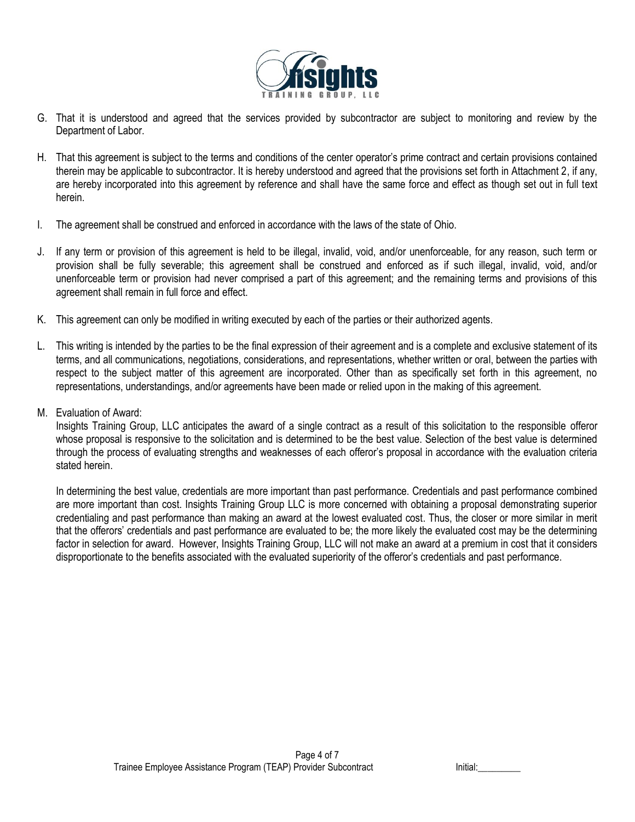

- G. That it is understood and agreed that the services provided by subcontractor are subject to monitoring and review by the Department of Labor.
- H. That this agreement is subject to the terms and conditions of the center operator's prime contract and certain provisions contained therein may be applicable to subcontractor. It is hereby understood and agreed that the provisions set forth in Attachment 2, if any, are hereby incorporated into this agreement by reference and shall have the same force and effect as though set out in full text herein.
- I. The agreement shall be construed and enforced in accordance with the laws of the state of Ohio.
- J. If any term or provision of this agreement is held to be illegal, invalid, void, and/or unenforceable, for any reason, such term or provision shall be fully severable; this agreement shall be construed and enforced as if such illegal, invalid, void, and/or unenforceable term or provision had never comprised a part of this agreement; and the remaining terms and provisions of this agreement shall remain in full force and effect.
- K. This agreement can only be modified in writing executed by each of the parties or their authorized agents.
- L. This writing is intended by the parties to be the final expression of their agreement and is a complete and exclusive statement of its terms, and all communications, negotiations, considerations, and representations, whether written or oral, between the parties with respect to the subject matter of this agreement are incorporated. Other than as specifically set forth in this agreement, no representations, understandings, and/or agreements have been made or relied upon in the making of this agreement.
- M. Evaluation of Award:

Insights Training Group, LLC anticipates the award of a single contract as a result of this solicitation to the responsible offeror whose proposal is responsive to the solicitation and is determined to be the best value. Selection of the best value is determined through the process of evaluating strengths and weaknesses of each offeror's proposal in accordance with the evaluation criteria stated herein.

In determining the best value, credentials are more important than past performance. Credentials and past performance combined are more important than cost. Insights Training Group LLC is more concerned with obtaining a proposal demonstrating superior credentialing and past performance than making an award at the lowest evaluated cost. Thus, the closer or more similar in merit that the offerors' credentials and past performance are evaluated to be; the more likely the evaluated cost may be the determining factor in selection for award. However, Insights Training Group, LLC will not make an award at a premium in cost that it considers disproportionate to the benefits associated with the evaluated superiority of the offeror's credentials and past performance.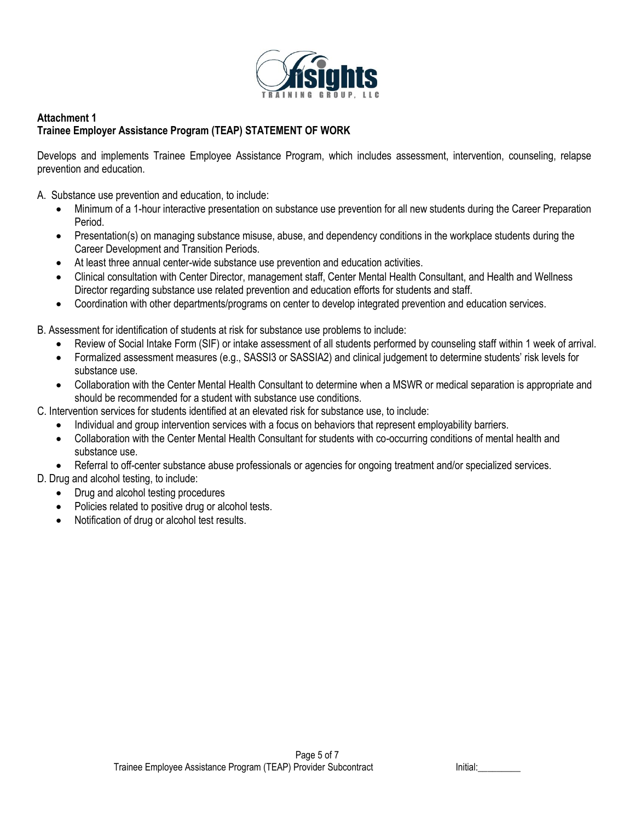

## **Attachment 1 Trainee Employer Assistance Program (TEAP) STATEMENT OF WORK**

Develops and implements Trainee Employee Assistance Program, which includes assessment, intervention, counseling, relapse prevention and education.

A. Substance use prevention and education, to include:

- Minimum of a 1-hour interactive presentation on substance use prevention for all new students during the Career Preparation Period.
- Presentation(s) on managing substance misuse, abuse, and dependency conditions in the workplace students during the Career Development and Transition Periods.
- At least three annual center-wide substance use prevention and education activities.
- Clinical consultation with Center Director, management staff, Center Mental Health Consultant, and Health and Wellness Director regarding substance use related prevention and education efforts for students and staff.
- Coordination with other departments/programs on center to develop integrated prevention and education services.

B. Assessment for identification of students at risk for substance use problems to include:

- Review of Social Intake Form (SIF) or intake assessment of all students performed by counseling staff within 1 week of arrival.
- Formalized assessment measures (e.g., SASSI3 or SASSIA2) and clinical judgement to determine students' risk levels for substance use.
- Collaboration with the Center Mental Health Consultant to determine when a MSWR or medical separation is appropriate and should be recommended for a student with substance use conditions.

C. Intervention services for students identified at an elevated risk for substance use, to include:

- Individual and group intervention services with a focus on behaviors that represent employability barriers.
- Collaboration with the Center Mental Health Consultant for students with co-occurring conditions of mental health and substance use.
- Referral to off-center substance abuse professionals or agencies for ongoing treatment and/or specialized services.
- D. Drug and alcohol testing, to include:
	- Drug and alcohol testing procedures
	- Policies related to positive drug or alcohol tests.
	- Notification of drug or alcohol test results.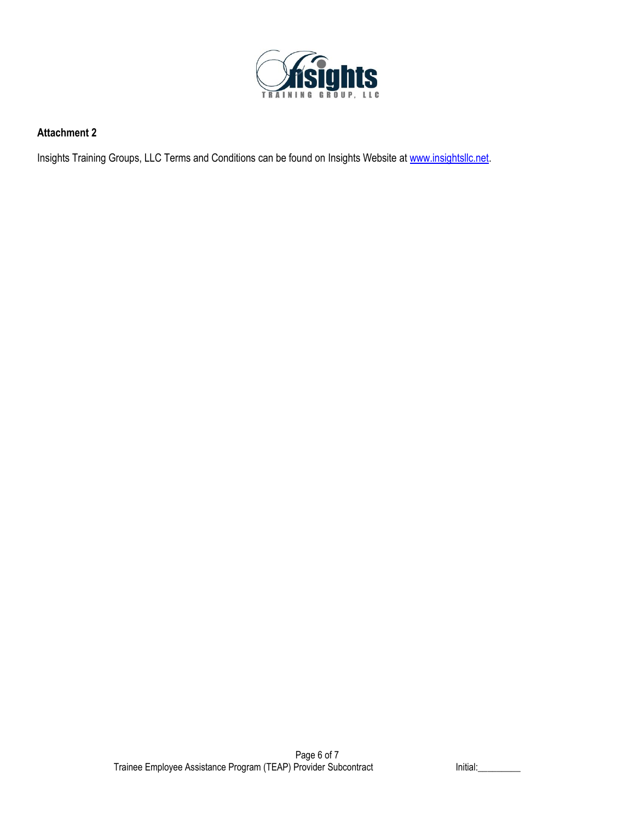

# **Attachment 2**

Insights Training Groups, LLC Terms and Conditions can be found on Insights Website at [www.insightsllc.net.](http://www.insightsllc.net/)